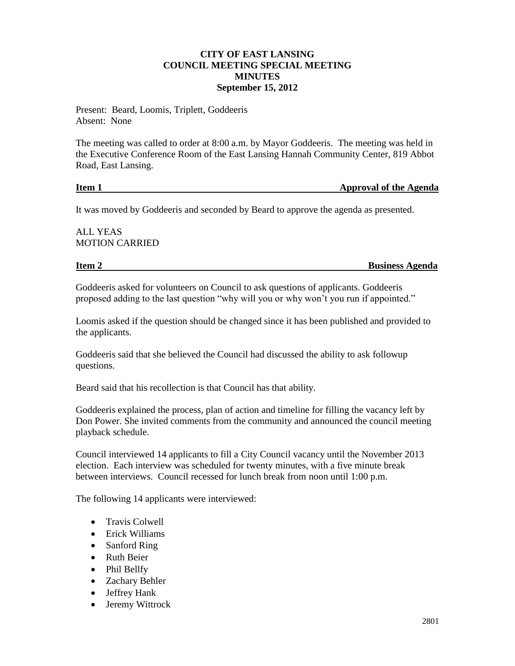## **CITY OF EAST LANSING COUNCIL MEETING SPECIAL MEETING MINUTES September 15, 2012**

Present: Beard, Loomis, Triplett, Goddeeris Absent: None

The meeting was called to order at 8:00 a.m. by Mayor Goddeeris. The meeting was held in the Executive Conference Room of the East Lansing Hannah Community Center, 819 Abbot Road, East Lansing.

## **Item 1** Approval of the Agenda

It was moved by Goddeeris and seconded by Beard to approve the agenda as presented.

ALL YEAS MOTION CARRIED

**Item 2** Business Agenda

Goddeeris asked for volunteers on Council to ask questions of applicants. Goddeeris proposed adding to the last question "why will you or why won't you run if appointed."

Loomis asked if the question should be changed since it has been published and provided to the applicants.

Goddeeris said that she believed the Council had discussed the ability to ask followup questions.

Beard said that his recollection is that Council has that ability.

Goddeeris explained the process, plan of action and timeline for filling the vacancy left by Don Power. She invited comments from the community and announced the council meeting playback schedule.

Council interviewed 14 applicants to fill a City Council vacancy until the November 2013 election. Each interview was scheduled for twenty minutes, with a five minute break between interviews. Council recessed for lunch break from noon until 1:00 p.m.

The following 14 applicants were interviewed:

- Travis Colwell
- Erick Williams
- Sanford Ring
- Ruth Beier
- Phil Bellfy
- Zachary Behler
- Jeffrey Hank
- Jeremy Wittrock